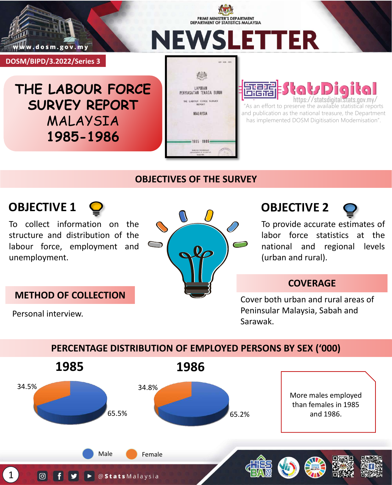

**DOSM/BIPD/3.2022/Series 3**

**NEWSLETTER** 

**THE LABOUR FORCE SURVEY REPORT** MALAYSIA **1985-1986**



PRIME MINISTER'S DEPARTMENT **DEPARTMENT OF STATISTICS MALAYSIA** 

#### 与主席 जेतिह http://statsdigital.

"As an effort to preserve the available statistical reports and publication as the national treasure, the Department has implemented DOSM Digitisation Modernisation".

## **OBJECTIVES OF THE SURVEY**



Personal interview.

To collect information on the structure and distribution of the labour force, employment and unemployment.

**METHOD OF COLLECTION**



**OBJECTIVE 2**

To provide accurate estimates of labor force statistics at the national and regional levels (urban and rural).

## **COVERAGE**

Cover both urban and rural areas of Peninsular Malaysia, Sabah and Sarawak.

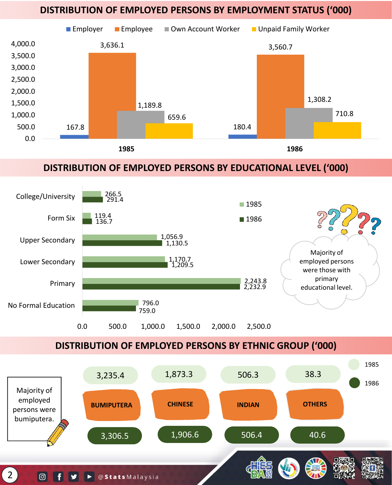#### **DISTRIBUTION OF EMPLOYED PERSONS BY EMPLOYMENT STATUS ('000)**



## **DISTRIBUTION OF EMPLOYED PERSONS BY EDUCATIONAL LEVEL ('000)**



**DISTRIBUTION OF EMPLOYED PERSONS BY ETHNIC GROUP ('000)**